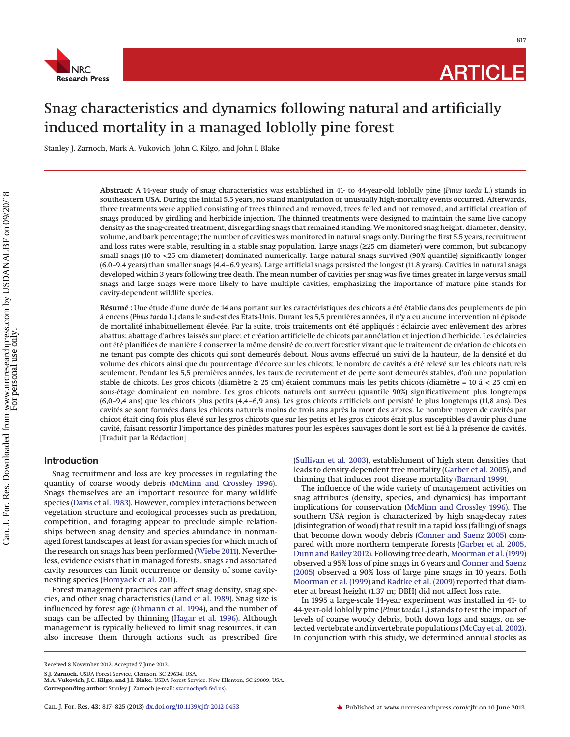

# Snag characteristics and dynamics following natural and artificially induced mortality in a managed loblolly pine forest

Stanley J. Zarnoch, Mark A. Vukovich, John C. Kilgo, and John I. Blake

**Abstract:** A 14-year study of snag characteristics was established in 41- to 44-year-old loblolly pine (*Pinus taeda* L.) stands in southeastern USA. During the initial 5.5 years, no stand manipulation or unusually high-mortality events occurred. Afterwards, three treatments were applied consisting of trees thinned and removed, trees felled and not removed, and artificial creation of snags produced by girdling and herbicide injection. The thinned treatments were designed to maintain the same live canopy density as the snag-created treatment, disregarding snags that remained standing. We monitored snag height, diameter, density, volume, and bark percentage; the number of cavities was monitored in natural snags only. During the first 5.5 years, recruitment and loss rates were stable, resulting in a stable snag population. Large snags (≥25 cm diameter) were common, but subcanopy small snags (10 to <25 cm diameter) dominated numerically. Large natural snags survived (90% quantile) significantly longer (6.0–9.4 years) than smaller snags (4.4–6.9 years). Large artificial snags persisted the longest (11.8 years). Cavities in natural snags developed within 3 years following tree death. The mean number of cavities per snag was five times greater in large versus small snags and large snags were more likely to have multiple cavities, emphasizing the importance of mature pine stands for cavity-dependent wildlife species.

**Résumé :** Une étude d'une durée de 14 ans portant sur les caractéristiques des chicots a été établie dans des peuplements de pin a` encens (*Pinus taeda* L.) dans le sud-est des États-Unis. Durant les 5,5 premières années, il n'y a eu aucune intervention ni épisode de mortalité inhabituellement élevée. Par la suite, trois traitements ont été appliqués : éclaircie avec enlèvement des arbres abattus; abattage d'arbres laissés sur place; et création artificielle de chicots par annélation et injection d'herbicide. Les éclaircies ont été planifiées de manière à conserver la même densité de couvert forestier vivant que le traitement de création de chicots en ne tenant pas compte des chicots qui sont demeurés debout. Nous avons effectué un suivi de la hauteur, de la densité et du volume des chicots ainsi que du pourcentage d'écorce sur les chicots; le nombre de cavités a été relevé sur les chicots naturels seulement. Pendant les 5,5 premières années, les taux de recrutement et de perte sont demeurés stables, d'où une population stable de chicots. Les gros chicots (diamètre  $\geq$  25 cm) étaient communs mais les petits chicots (diamètre = 10 à < 25 cm) en sous-étage dominaient en nombre. Les gros chicots naturels ont survécu (quantile 90%) significativement plus longtemps (6,0–9,4 ans) que les chicots plus petits (4,4–6,9 ans). Les gros chicots artificiels ont persisté le plus longtemps (11,8 ans). Des cavités se sont formées dans les chicots naturels moins de trois ans après la mort des arbres. Le nombre moyen de cavités par chicot était cinq fois plus élevé sur les gros chicots que sur les petits et les gros chicots était plus susceptibles d'avoir plus d'une cavité, faisant ressortir l'importance des pinèdes matures pour les espèces sauvages dont le sort est lié a` la présence de cavités. [Traduit par la Rédaction]

# **Introduction**

Snag recruitment and loss are key processes in regulating the quantity of coarse woody debris [\(McMinn and Crossley 1996\)](#page-7-0). Snags themselves are an important resource for many wildlife species [\(Davis et al. 1983\)](#page-7-1). However, complex interactions between vegetation structure and ecological processes such as predation, competition, and foraging appear to preclude simple relationships between snag density and species abundance in nonmanaged forest landscapes at least for avian species for which much of the research on snags has been performed [\(Wiebe 2011\)](#page-8-0). Nevertheless, evidence exists that in managed forests, snags and associated cavity resources can limit occurrence or density of some cavitynesting species [\(Homyack et al. 2011\)](#page-7-2).

Forest management practices can affect snag density, snag species, and other snag characteristics [\(Land et al. 1989\)](#page-7-3). Snag size is influenced by forest age [\(Ohmann et al. 1994\)](#page-8-1), and the number of snags can be affected by thinning [\(Hagar et al. 1996\)](#page-7-4). Although management is typically believed to limit snag resources, it can also increase them through actions such as prescribed fire

The influence of the wide variety of management activities on snag attributes (density, species, and dynamics) has important implications for conservation [\(McMinn and Crossley 1996\)](#page-7-0). The southern USA region is characterized by high snag-decay rates (disintegration of wood) that result in a rapid loss (falling) of snags that become down woody debris [\(Conner and Saenz 2005\)](#page-7-7) compared with more northern temperate forests [\(Garber et al. 2005,](#page-7-5) [Dunn and Bailey 2012\)](#page-7-8). Following tree death, [Moorman et al. \(1999\)](#page-7-9) observed a 95% loss of pine snags in 6 years and [Conner and Saenz](#page-7-7) [\(2005\)](#page-7-7) observed a 90% loss of large pine snags in 10 years. Both [Moorman et al. \(1999\)](#page-7-9) and [Radtke et al. \(2009\)](#page-8-3) reported that diameter at breast height (1.37 m; DBH) did not affect loss rate.

In 1995 a large-scale 14-year experiment was installed in 41- to 44-year-old loblolly pine (*Pinus taeda* L.) stands to test the impact of levels of coarse woody debris, both down logs and snags, on selected vertebrate and invertebrate populations [\(McCay et al. 2002\)](#page-7-10). In conjunction with this study, we determined annual stocks as

[<sup>\(</sup>Sullivan et al. 2003\)](#page-8-2), establishment of high stem densities that leads to density-dependent tree mortality [\(Garber et al. 2005\)](#page-7-5), and thinning that induces root disease mortality [\(Barnard 1999\)](#page-7-6).

Received 8 November 2012. Accepted 7 June 2013.

**S.J. Zarnoch.** USDA Forest Service, Clemson, SC 29634, USA.

**M.A. Vukovich, J.C. Kilgo, and J.I. Blake.** USDA Forest Service, New Ellenton, SC 29809, USA. **Corresponding author:** Stanley J. Zarnoch (e-mail: [szarnoch@fs.fed.us\)](mailto:szarnoch@fs.fed.us).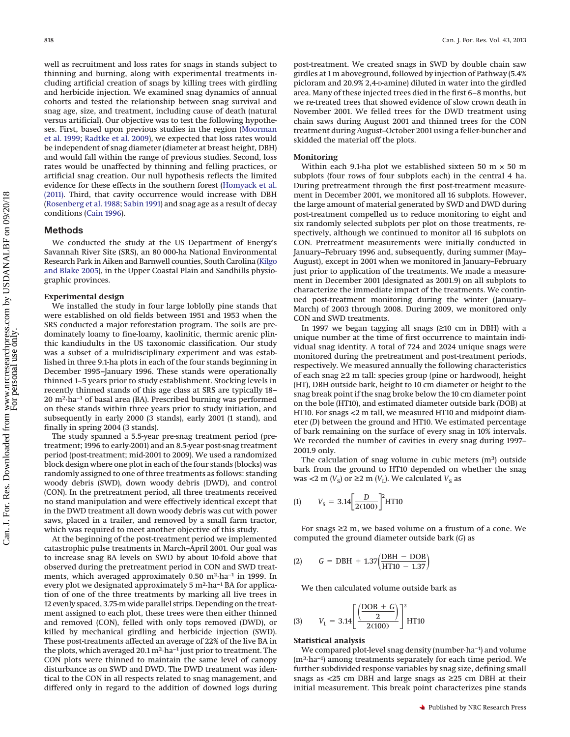well as recruitment and loss rates for snags in stands subject to thinning and burning, along with experimental treatments including artificial creation of snags by killing trees with girdling and herbicide injection. We examined snag dynamics of annual cohorts and tested the relationship between snag survival and snag age, size, and treatment, including cause of death (natural versus artificial). Our objective was to test the following hypotheses. First, based upon previous studies in the region [\(Moorman](#page-7-9) [et al. 1999;](#page-7-9) [Radtke et al. 2009\)](#page-8-3), we expected that loss rates would be independent of snag diameter (diameter at breast height, DBH) and would fall within the range of previous studies. Second, loss rates would be unaffected by thinning and felling practices, or artificial snag creation. Our null hypothesis reflects the limited evidence for these effects in the southern forest [\(Homyack et al.](#page-7-2) [\(2011\).](#page-7-2) Third, that cavity occurrence would increase with DBH [\(Rosenberg et al. 1988;](#page-8-4) [Sabin 1991\)](#page-8-5) and snag age as a result of decay conditions [\(Cain 1996\)](#page-7-11).

# **Methods**

We conducted the study at the US Department of Energy's Savannah River Site (SRS), an 80 000-ha National Environmental Research Park in Aiken and Barnwell counties, South Carolina [\(Kilgo](#page-7-12) [and Blake 2005\)](#page-7-12), in the Upper Coastal Plain and Sandhills physiographic provinces.

#### **Experimental design**

We installed the study in four large loblolly pine stands that were established on old fields between 1951 and 1953 when the SRS conducted a major reforestation program. The soils are predominately loamy to fine-loamy, kaolinitic, thermic arenic plinthic kandiudults in the US taxonomic classification. Our study was a subset of a multidisciplinary experiment and was established in three 9.1-ha plots in each of the four stands beginning in December 1995–January 1996. These stands were operationally thinned 1–5 years prior to study establishment. Stocking levels in recently thinned stands of this age class at SRS are typically 18– 20 m2·ha−1 of basal area (BA). Prescribed burning was performed on these stands within three years prior to study initiation, and subsequently in early 2000 (3 stands), early 2001 (1 stand), and finally in spring 2004 (3 stands).

The study spanned a 5.5-year pre-snag treatment period (pretreatment; 1996 to early-2001) and an 8.5-year post-snag treatment period (post-treatment; mid-2001 to 2009). We used a randomized block design where one plot in each of the four stands (blocks) was randomly assigned to one of three treatments as follows: standing woody debris (SWD), down woody debris (DWD), and control (CON). In the pretreatment period, all three treatments received no stand manipulation and were effectively identical except that in the DWD treatment all down woody debris was cut with power saws, placed in a trailer, and removed by a small farm tractor, which was required to meet another objective of this study.

At the beginning of the post-treatment period we implemented catastrophic pulse treatments in March–April 2001. Our goal was to increase snag BA levels on SWD by about 10-fold above that observed during the pretreatment period in CON and SWD treatments, which averaged approximately 0.50 m<sup>2</sup>·ha<sup>-1</sup> in 1999. In every plot we designated approximately 5 m<sup>2</sup>·ha<sup>-1</sup> BA for application of one of the three treatments by marking all live trees in 12 evenly spaced, 3.75-m wide parallel strips. Depending on the treatment assigned to each plot, these trees were then either thinned and removed (CON), felled with only tops removed (DWD), or killed by mechanical girdling and herbicide injection (SWD). These post-treatments affected an average of 22% of the live BA in the plots, which averaged 20.1 m2·ha−1 just prior to treatment. The CON plots were thinned to maintain the same level of canopy disturbance as on SWD and DWD. The DWD treatment was identical to the CON in all respects related to snag management, and differed only in regard to the addition of downed logs during post-treatment. We created snags in SWD by double chain saw girdles at 1 m aboveground, followed by injection of Pathway (5.4% picloram and 20.9% 2,4-D-amine) diluted in water into the girdled area. Many of these injected trees died in the first 6–8 months, but we re-treated trees that showed evidence of slow crown death in November 2001. We felled trees for the DWD treatment using chain saws during August 2001 and thinned trees for the CON treatment during August–October 2001 using a feller-buncher and skidded the material off the plots.

#### **Monitoring**

Within each 9.1-ha plot we established sixteen 50 m  $\times$  50 m subplots (four rows of four subplots each) in the central 4 ha. During pretreatment through the first post-treatment measurement in December 2001, we monitored all 16 subplots. However, the large amount of material generated by SWD and DWD during post-treatment compelled us to reduce monitoring to eight and six randomly selected subplots per plot on those treatments, respectively, although we continued to monitor all 16 subplots on CON. Pretreatment measurements were initially conducted in January–February 1996 and, subsequently, during summer (May– August), except in 2001 when we monitored in January–February just prior to application of the treatments. We made a measurement in December 2001 (designated as 2001.9) on all subplots to characterize the immediate impact of the treatments. We continued post-treatment monitoring during the winter (January– March) of 2003 through 2008. During 2009, we monitored only CON and SWD treatments.

In 1997 we began tagging all snags (≥10 cm in DBH) with a unique number at the time of first occurrence to maintain individual snag identity. A total of 724 and 2024 unique snags were monitored during the pretreatment and post-treatment periods, respectively. We measured annually the following characteristics of each snag ≥2 m tall: species group (pine or hardwood), height (HT), DBH outside bark, height to 10 cm diameter or height to the snag break point if the snag broke below the 10 cm diameter point on the bole (HT10), and estimated diameter outside bark (DOB) at HT10. For snags <2 m tall, we measured HT10 and midpoint diameter (*D*) between the ground and HT10. We estimated percentage of bark remaining on the surface of every snag in 10% intervals. We recorded the number of cavities in every snag during 1997– 2001.9 only.

The calculation of snag volume in cubic meters  $(m<sup>3</sup>)$  outside bark from the ground to HT10 depended on whether the snag was <2 m  $(V<sub>S</sub>)$  or ≥2 m  $(V<sub>L</sub>)$ . We calculated  $V<sub>S</sub>$  as

(1) 
$$
V_S = 3.14 \left[ \frac{D}{2(100)} \right]^2
$$
HT10

For snags  $\geq$  m, we based volume on a frustum of a cone. We computed the ground diameter outside bark (*G*) as

(2) 
$$
G = DBH + 1.37 \left( \frac{DBH - DOB}{HT10 - 1.37} \right)
$$

We then calculated volume outside bark as

(3) 
$$
V_L = 3.14 \left[ \frac{\left( \frac{DOB + G}{2} \right)}{2(100)} \right]^2
$$
 HT10

#### **Statistical analysis**

We compared plot-level snag density (number·ha−1) and volume (m3·ha−1) among treatments separately for each time period. We further subdivided response variables by snag size, defining small snags as <25 cm DBH and large snags as ≥25 cm DBH at their initial measurement. This break point characterizes pine stands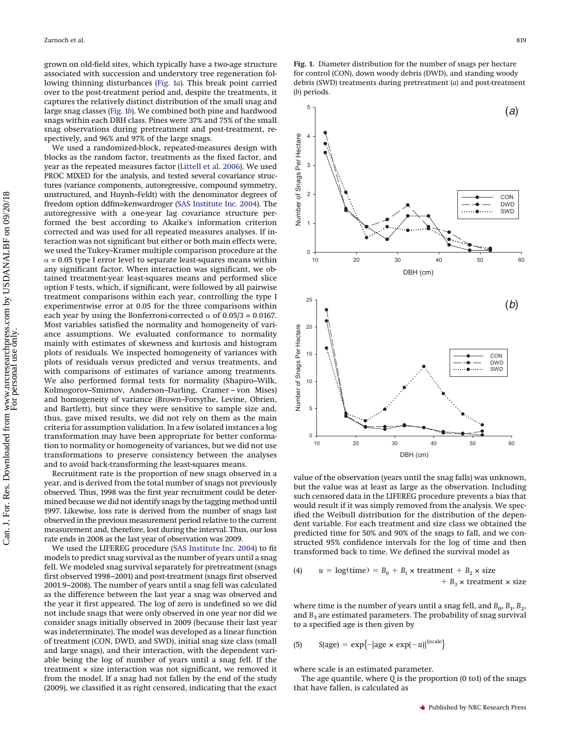grown on old-field sites, which typically have a two-age structure associated with succession and understory tree regeneration following thinning disturbances [\(Fig. 1](#page-2-0)*a*). This break point carried over to the post-treatment period and, despite the treatments, it captures the relatively distinct distribution of the small snag and large snag classes [\(Fig. 1](#page-2-0)*b*). We combined both pine and hardwood snags within each DBH class. Pines were 37% and 75% of the small snag observations during pretreatment and post-treatment, respectively, and 96% and 97% of the large snags.

We used a randomized-block, repeated-measures design with blocks as the random factor, treatments as the fixed factor, and year as the repeated measures factor [\(Littell et al. 2006\)](#page-7-13). We used PROC MIXED for the analysis, and tested several covariance structures (variance components, autoregressive, compound symmetry, unstructured, and Huynh–Feldt) with the denominator degrees of freedom option ddfm=kenwardroger [\(SAS Institute Inc.](#page-8-6) 2004). The autoregressive with a one-year lag covariance structure performed the best according to Akaike's information criterion corrected and was used for all repeated measures analyses. If interaction was not significant but either or both main effects were, we used the Tukey–Kramer multiple comparison procedure at the  $\alpha$  = 0.05 type I error level to separate least-squares means within any significant factor. When interaction was significant, we obtained treatment-year least-squares means and performed slice option F tests, which, if significant, were followed by all pairwise treatment comparisons within each year, controlling the type I experimentwise error at 0.05 for the three comparisons within each year by using the Bonferroni-corrected  $\alpha$  of 0.05/3 = 0.0167. Most variables satisfied the normality and homogeneity of variance assumptions. We evaluated conformance to normality mainly with estimates of skewness and kurtosis and histogram plots of residuals. We inspected homogeneity of variances with plots of residuals versus predicted and versus treatments, and with comparisons of estimates of variance among treatments. We also performed formal tests for normality (Shapiro–Wilk, Kolmogorov–Smirnov, Anderson–Darling, Cramer – von Mises) and homogeneity of variance (Brown–Forsythe, Levine, Obrien, and Bartlett), but since they were sensitive to sample size and, thus, gave mixed results, we did not rely on them as the main criteria for assumption validation. In a few isolated instances a log transformation may have been appropriate for better conformation to normality or homogeneity of variances, but we did not use transformations to preserve consistency between the analyses and to avoid back-transforming the least-squares means.

Recruitment rate is the proportion of new snags observed in a year, and is derived from the total number of snags not previously observed. Thus, 1998 was the first year recruitment could be determined because we did not identify snags by the tagging method until 1997. Likewise, loss rate is derived from the number of snags last observed in the previous measurement period relative to the current measurement and, therefore, lost during the interval. Thus, our loss rate ends in 2008 as the last year of observation was 2009.

We used the LIFEREG procedure [\(SAS Institute Inc. 2004\)](#page-8-6) to fit models to predict snag survival as the number of years until a snag fell. We modeled snag survival separately for pretreatment (snags first observed 1998–2001) and post-treatment (snags first observed 2001.9–2008). The number of years until a snag fell was calculated as the difference between the last year a snag was observed and the year it first appeared. The log of zero is undefined so we did not include snags that were only observed in one year nor did we consider snags initially observed in 2009 (because their last year was indeterminate). The model was developed as a linear function of treatment (CON, DWD, and SWD), initial snag size class (small and large snags), and their interaction, with the dependent variable being the log of number of years until a snag fell. If the treatment × size interaction was not significant, we removed it from the model. If a snag had not fallen by the end of the study (2009), we classified it as right censored, indicating that the exact

<span id="page-2-0"></span>**Fig. 1.** Diameter distribution for the number of snags per hectare for control (CON), down woody debris (DWD), and standing woody debris (SWD) treatments during pretreatment (*a*) and post-treatment (*b*) periods.



value of the observation (years until the snag falls) was unknown, but the value was at least as large as the observation. Including such censored data in the LIFEREG procedure prevents a bias that would result if it was simply removed from the analysis. We specified the Weibull distribution for the distribution of the dependent variable. For each treatment and size class we obtained the predicted time for 50% and 90% of the snags to fall, and we constructed 95% confidence intervals for the log of time and then transformed back to time. We defined the survival model as

(4) 
$$
u = \log(\text{time}) = B_0 + B_1 \times \text{treatment} + B_2 \times \text{size}
$$
  
+  $B_3 \times \text{treatment} \times \text{size}$ 

where time is the number of years until a snag fell, and  $B_0$ ,  $B_1$ ,  $B_2$ , and  $B_3$  are estimated parameters. The probability of snag survival to a specified age is then given by

(5) 
$$
S(age) = exp{-[age \times exp(-u)]^{1/scale}}
$$

where scale is an estimated parameter.

The age quantile, where *Q* is the proportion (0 to1) of the snags that have fallen, is calculated as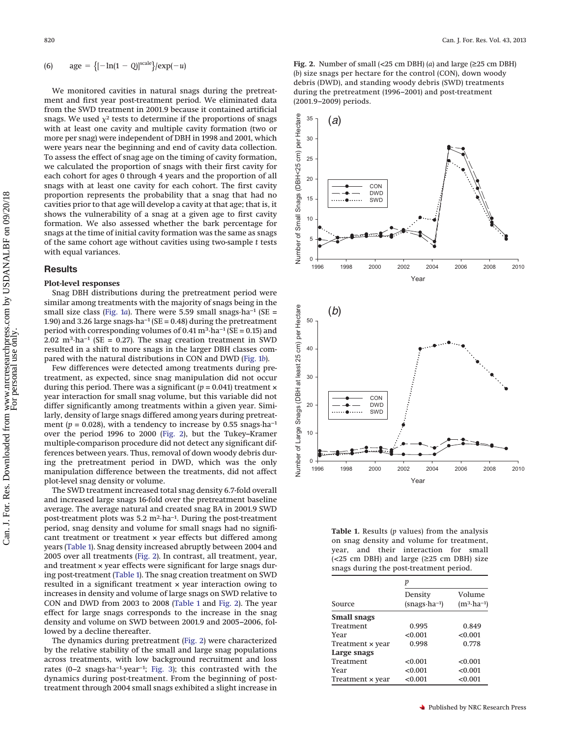(6) 
$$
age = \{[-\ln(1 - Q)]^{scale}\} / exp(-u)
$$

We monitored cavities in natural snags during the pretreatment and first year post-treatment period. We eliminated data from the SWD treatment in 2001.9 because it contained artificial snags. We used  $\chi^2$  tests to determine if the proportions of snags with at least one cavity and multiple cavity formation (two or more per snag) were independent of DBH in 1998 and 2001, which were years near the beginning and end of cavity data collection. To assess the effect of snag age on the timing of cavity formation, we calculated the proportion of snags with their first cavity for each cohort for ages 0 through 4 years and the proportion of all snags with at least one cavity for each cohort. The first cavity proportion represents the probability that a snag that had no cavities prior to that age will develop a cavity at that age; that is, it shows the vulnerability of a snag at a given age to first cavity formation. We also assessed whether the bark percentage for snags at the time of initial cavity formation was the same as snags of the same cohort age without cavities using two-sample *t* tests with equal variances.

## **Results**

#### **Plot-level responses**

Snag DBH distributions during the pretreatment period were similar among treatments with the majority of snags being in the small size class [\(Fig. 1](#page-2-0)*a*). There were 5.59 small snags⋅ha<sup>-1</sup> (SE = 1.90) and 3.26 large snags·ha−1 (SE = 0.48) during the pretreatment period with corresponding volumes of 0.41 m<sup>3</sup>·ha<sup>-1</sup> (SE = 0.15) and 2.02 m<sup>3</sup>·ha<sup>-1</sup> (SE = 0.27). The snag creation treatment in SWD resulted in a shift to more snags in the larger DBH classes compared with the natural distributions in CON and DWD [\(Fig. 1](#page-2-0)*b*).

Few differences were detected among treatments during pretreatment, as expected, since snag manipulation did not occur during this period. There was a significant  $(p = 0.041)$  treatment  $\times$ year interaction for small snag volume, but this variable did not differ significantly among treatments within a given year. Similarly, density of large snags differed among years during pretreatment ( $p = 0.028$ ), with a tendency to increase by 0.55 snags·ha<sup>-1</sup> over the period 1996 to 2000 [\(Fig. 2\)](#page-3-0), but the Tukey–Kramer multiple-comparison procedure did not detect any significant differences between years. Thus, removal of down woody debris during the pretreatment period in DWD, which was the only manipulation difference between the treatments, did not affect plot-level snag density or volume.

The SWD treatment increased total snag density 6.7-fold overall and increased large snags 16-fold over the pretreatment baseline average. The average natural and created snag BA in 2001.9 SWD post-treatment plots was 5.2 m2·ha−1. During the post-treatment period, snag density and volume for small snags had no significant treatment or treatment x year effects but differed among years [\(Table 1\)](#page-3-1). Snag density increased abruptly between 2004 and 2005 over all treatments [\(Fig. 2\)](#page-3-0). In contrast, all treatment, year, and treatment  $\times$  year effects were significant for large snags during post-treatment [\(Table 1\)](#page-3-1). The snag creation treatment on SWD resulted in a significant treatment × year interaction owing to increases in density and volume of large snags on SWD relative to CON and DWD from 2003 to 2008 [\(Table 1](#page-3-1) and [Fig. 2\)](#page-3-0). The year effect for large snags corresponds to the increase in the snag density and volume on SWD between 2001.9 and 2005–2006, followed by a decline thereafter.

The dynamics during pretreatment [\(Fig. 2\)](#page-3-0) were characterized by the relative stability of the small and large snag populations across treatments, with low background recruitment and loss rates (0–2 snags·ha−1·year−1; [Fig. 3\)](#page-4-0); this contrasted with the dynamics during post-treatment. From the beginning of posttreatment through 2004 small snags exhibited a slight increase in <span id="page-3-0"></span>**Fig. 2.** Number of small (<25 cm DBH) (*a*) and large (≥25 cm DBH) (*b*) size snags per hectare for the control (CON), down woody debris (DWD), and standing woody debris (SWD) treatments during the pretreatment (1996–2001) and post-treatment (2001.9–2009) periods.



<span id="page-3-1"></span>**Table 1.** Results (*p* values) from the analysis on snag density and volume for treatment, year, and their interaction for small ( $<$ 25 cm DBH) and large ( $\geq$ 25 cm DBH) size snags during the post-treatment period.

|                    | р                                  |                                 |  |  |  |
|--------------------|------------------------------------|---------------------------------|--|--|--|
| Source             | Density<br>$(snags \cdot ha^{-1})$ | Volume<br>$(m^3 \cdot ha^{-1})$ |  |  |  |
| <b>Small snags</b> |                                    |                                 |  |  |  |
| Treatment          | 0.995                              | 0.849                           |  |  |  |
| Year               | < 0.001                            | < 0.001                         |  |  |  |
| Treatment × year   | 0.998                              | 0.778                           |  |  |  |
| Large snags        |                                    |                                 |  |  |  |
| Treatment          | < 0.001                            | < 0.001                         |  |  |  |
| Year               | < 0.001                            | < 0.001                         |  |  |  |
| Treatment × year   | < 0.001                            | < 0.001                         |  |  |  |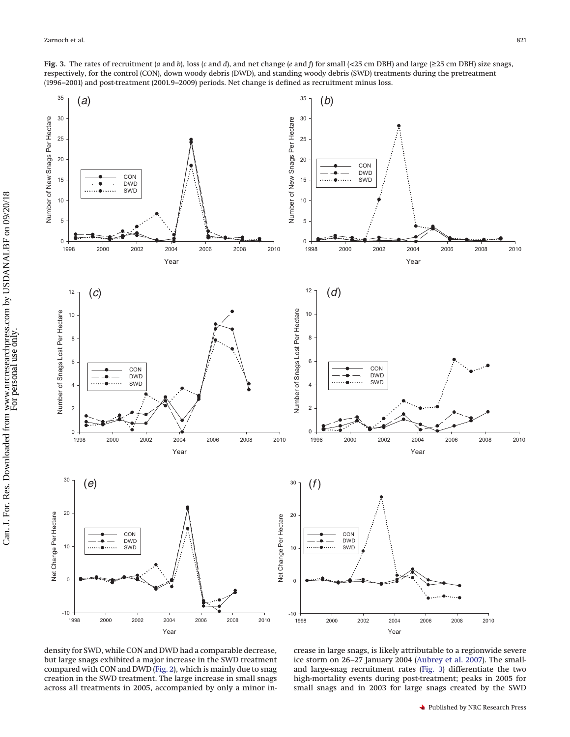<span id="page-4-0"></span>**Fig. 3.** The rates of recruitment (*a* and *b*), loss (*c* and *d*), and net change (*e* and *f*) for small (<25 cm DBH) and large (≥25 cm DBH) size snags, respectively, for the control (CON), down woody debris (DWD), and standing woody debris (SWD) treatments during the pretreatment (1996–2001) and post-treatment (2001.9–2009) periods. Net change is defined as recruitment minus loss.



density for SWD, while CON and DWD had a comparable decrease, but large snags exhibited a major increase in the SWD treatment compared with CON and DWD [\(Fig. 2\)](#page-3-0), which is mainly due to snag creation in the SWD treatment. The large increase in small snags across all treatments in 2005, accompanied by only a minor in-

crease in large snags, is likely attributable to a regionwide severe ice storm on 26–27 January 2004 [\(Aubrey et al. 2007\)](#page-7-14). The smalland large-snag recruitment rates [\(Fig. 3\)](#page-4-0) differentiate the two high-mortality events during post-treatment; peaks in 2005 for small snags and in 2003 for large snags created by the SWD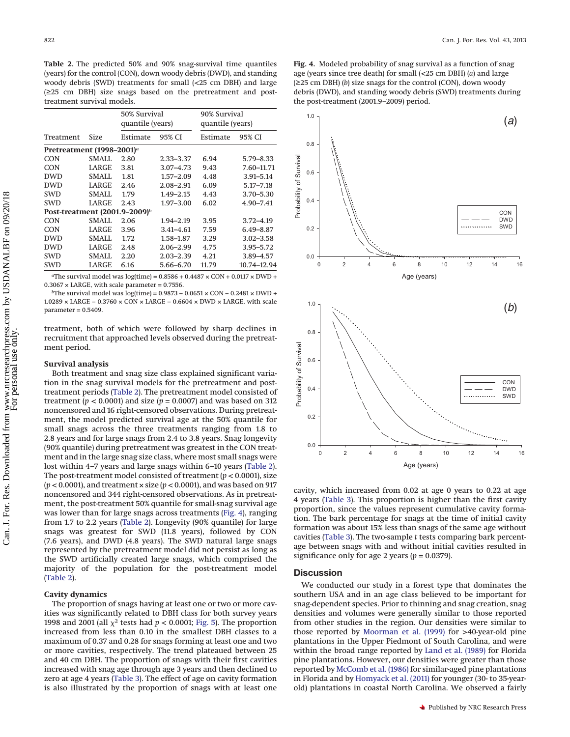<span id="page-5-0"></span>**Table 2.** The predicted 50% and 90% snag-survival time quantiles (years) for the control (CON), down woody debris (DWD), and standing woody debris (SWD) treatments for small (<25 cm DBH) and large (≥25 cm DBH) size snags based on the pretreatment and posttreatment survival models.

|                                       |              | 50% Survival<br>quantile (years) |               | 90% Survival<br>quantile (years) |               |  |  |  |  |
|---------------------------------------|--------------|----------------------------------|---------------|----------------------------------|---------------|--|--|--|--|
| Treatment                             | Size         | Estimate                         | 95% CI        | Estimate                         | 95% CI        |  |  |  |  |
| Pretreatment (1998–2001) <sup>a</sup> |              |                                  |               |                                  |               |  |  |  |  |
| CON                                   | SMALL        | 2.80                             | $2.33 - 3.37$ | 6.94                             | $5.79 - 8.33$ |  |  |  |  |
| <b>CON</b>                            | LARGE        | 3.81                             | $3.07 - 4.73$ | 9.43                             | 7.60-11.71    |  |  |  |  |
| <b>DWD</b>                            | <b>SMALL</b> | 1.81                             | $1.57 - 2.09$ | 4.48                             | $3.91 - 5.14$ |  |  |  |  |
| <b>DWD</b>                            | LARGE        | 2.46                             | $2.08 - 2.91$ | 6.09                             | $5.17 - 7.18$ |  |  |  |  |
| <b>SWD</b>                            | <b>SMALL</b> | 1.79                             | $1.49 - 2.15$ | 4.43                             | $3.70 - 5.30$ |  |  |  |  |
| <b>SWD</b>                            | LARGE        | 2.43                             | $1.97 - 3.00$ | 6.02                             | 4.90-7.41     |  |  |  |  |
| Post-treatment $(2001.9-2009)^b$      |              |                                  |               |                                  |               |  |  |  |  |
| CON                                   | SMALL        | 2.06                             | 1.94-2.19     | 3.95                             | $3.72 - 4.19$ |  |  |  |  |
| <b>CON</b>                            | LARGE        | 3.96                             | 3.41–4.61     | 7.59                             | $6.49 - 8.87$ |  |  |  |  |
| <b>DWD</b>                            | SMALL        | 1.72                             | 1.58-1.87     | 3.29                             | $3.02 - 3.58$ |  |  |  |  |
| <b>DWD</b>                            | LARGE        | 2.48                             | $2.06 - 2.99$ | 4.75                             | $3.95 - 5.72$ |  |  |  |  |
| <b>SWD</b>                            | SMALL        | 2.20                             | $2.03 - 2.39$ | 4.21                             | $3.89 - 4.57$ |  |  |  |  |
| <b>SWD</b>                            | <b>LARGE</b> | 6.16                             | 5.66-6.70     | 11.79                            | 10.74-12.94   |  |  |  |  |

<sup>a</sup>The survival model was log(time) =  $0.8586 + 0.4487 \times \text{CON} + 0.0117 \times \text{DWD} +$  $0.3067 \times$  LARGE, with scale parameter = 0.7556.

*b*The survival model was log(time) = 0.9873 – 0.0651 × CON – 0.2481 × DWD + 1.0289 × LARGE − 0.3760 × CON × LARGE − 0.6604 × DWD × LARGE, with scale parameter = 0.5409.

treatment, both of which were followed by sharp declines in recruitment that approached levels observed during the pretreatment period.

## **Survival analysis**

Both treatment and snag size class explained significant variation in the snag survival models for the pretreatment and posttreatment periods [\(Table 2\)](#page-5-0). The pretreatment model consisted of treatment ( $p < 0.0001$ ) and size ( $p = 0.0007$ ) and was based on 312 noncensored and 16 right-censored observations. During pretreatment, the model predicted survival age at the 50% quantile for small snags across the three treatments ranging from 1.8 to 2.8 years and for large snags from 2.4 to 3.8 years. Snag longevity (90% quantile) during pretreatment was greatest in the CON treatment and in the large snag size class, where most small snags were lost within 4–7 years and large snags within 6–10 years [\(Table 2\)](#page-5-0). The post-treatment model consisted of treatment (*p* < 0.0001), size (*p* < 0.0001), and treatment × size (*p* < 0.0001), and was based on 917 noncensored and 344 right-censored observations. As in pretreatment, the post-treatment 50% quantile for small-snag survival age was lower than for large snags across treatments [\(Fig. 4\)](#page-5-1), ranging from 1.7 to 2.2 years [\(Table 2\)](#page-5-0). Longevity (90% quantile) for large snags was greatest for SWD (11.8 years), followed by CON (7.6 years), and DWD (4.8 years). The SWD natural large snags represented by the pretreatment model did not persist as long as the SWD artificially created large snags, which comprised the majority of the population for the post-treatment model [\(Table 2\)](#page-5-0).

## **Cavity dynamics**

The proportion of snags having at least one or two or more cavities was significantly related to DBH class for both survey years 1998 and 2001 (all  $\chi^2$  tests had  $p < 0.0001$ ; [Fig. 5\)](#page-6-0). The proportion increased from less than 0.10 in the smallest DBH classes to a maximum of 0.37 and 0.28 for snags forming at least one and two or more cavities, respectively. The trend plateaued between 25 and 40 cm DBH. The proportion of snags with their first cavities increased with snag age through age 3 years and then declined to zero at age 4 years [\(Table 3\)](#page-6-1). The effect of age on cavity formation is also illustrated by the proportion of snags with at least one <span id="page-5-1"></span>**Fig. 4.** Modeled probability of snag survival as a function of snag age (years since tree death) for small (<25 cm DBH) (*a*) and large (≥25 cm DBH) (*b*) size snags for the control (CON), down woody debris (DWD), and standing woody debris (SWD) treatments during the post-treatment (2001.9–2009) period.



cavity, which increased from 0.02 at age 0 years to 0.22 at age 4 years [\(Table 3\)](#page-6-1). This proportion is higher than the first cavity proportion, since the values represent cumulative cavity formation. The bark percentage for snags at the time of initial cavity formation was about 15% less than snags of the same age without cavities [\(Table 3\)](#page-6-1). The two-sample *t* tests comparing bark percentage between snags with and without initial cavities resulted in significance only for age 2 years ( $p = 0.0379$ ).

## **Discussion**

We conducted our study in a forest type that dominates the southern USA and in an age class believed to be important for snag-dependent species. Prior to thinning and snag creation, snag densities and volumes were generally similar to those reported from other studies in the region. Our densities were similar to those reported by [Moorman et al. \(1999\)](#page-7-9) for >40-year-old pine plantations in the Upper Piedmont of South Carolina, and were within the broad range reported by [Land et al. \(1989\)](#page-7-3) for Florida pine plantations. However, our densities were greater than those reported by [McComb et al. \(1986\)](#page-7-15) for similar-aged pine plantations in Florida and by [Homyack et al. \(2011\)](#page-7-2) for younger (30- to 35-yearold) plantations in coastal North Carolina. We observed a fairly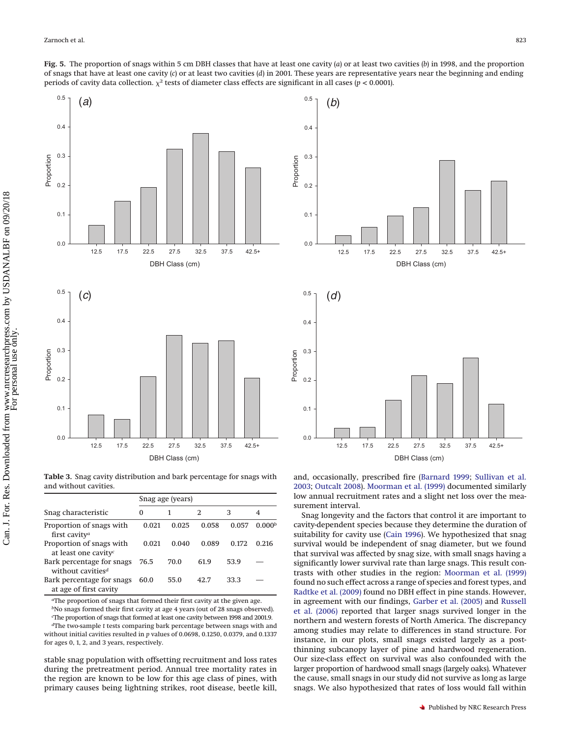<span id="page-6-0"></span>

<span id="page-6-1"></span>**Table 3.** Snag cavity distribution and bark percentage for snags with and without cavities.

|                                                              | Snag age (years) |       |       |       |                    |  |
|--------------------------------------------------------------|------------------|-------|-------|-------|--------------------|--|
| Snag characteristic                                          | $\Omega$         |       | 2     | З     | 4                  |  |
| Proportion of snags with<br>first cavity <sup>a</sup>        | 0.021            | 0.025 | 0.058 | 0.057 | 0.000 <sup>b</sup> |  |
| Proportion of snags with<br>at least one cavity <sup>c</sup> | 0.021            | 0.040 | 0.089 | 0.172 | 0.216              |  |
| Bark percentage for snags<br>without cavities <sup>d</sup>   | 76.5             | 70.0  | 61.9  | 53.9  |                    |  |
| Bark percentage for snags<br>at age of first cavity          | 60.0             | 55.0  | 42.7  | 33.3  |                    |  |

*a*The proportion of snags that formed their first cavity at the given age.

*b*No snags formed their first cavity at age 4 years (out of 28 snags observed). *c* The proportion of snags that formed at least one cavity between 1998 and 2001.9.

*d*The two-sample *t* tests comparing bark percentage between snags with and without initial cavities resulted in *p* values of 0.0698, 0.1250, 0.0379, and 0.1337 for ages 0, 1, 2, and 3 years, respectively.

stable snag population with offsetting recruitment and loss rates during the pretreatment period. Annual tree mortality rates in the region are known to be low for this age class of pines, with primary causes being lightning strikes, root disease, beetle kill,



and, occasionally, prescribed fire [\(Barnard 1999;](#page-7-6) [Sullivan et al.](#page-8-2) [2003;](#page-8-2) [Outcalt 2008\)](#page-8-7). [Moorman et al. \(1999\)](#page-7-9) documented similarly low annual recruitment rates and a slight net loss over the measurement interval.

Snag longevity and the factors that control it are important to cavity-dependent species because they determine the duration of suitability for cavity use [\(Cain 1996\)](#page-7-11). We hypothesized that snag survival would be independent of snag diameter, but we found that survival was affected by snag size, with small snags having a significantly lower survival rate than large snags. This result contrasts with other studies in the region: [Moorman et al. \(1999\)](#page-7-9) found no such effect across a range of species and forest types, and [Radtke et al. \(2009\)](#page-8-3) found no DBH effect in pine stands. However, in agreement with our findings, [Garber et al. \(2005\)](#page-7-5) and [Russell](#page-8-8) [et al. \(2006\)](#page-8-8) reported that larger snags survived longer in the northern and western forests of North America. The discrepancy among studies may relate to differences in stand structure. For instance, in our plots, small snags existed largely as a postthinning subcanopy layer of pine and hardwood regeneration. Our size-class effect on survival was also confounded with the larger proportion of hardwood small snags (largely oaks). Whatever the cause, small snags in our study did not survive as long as large snags. We also hypothesized that rates of loss would fall within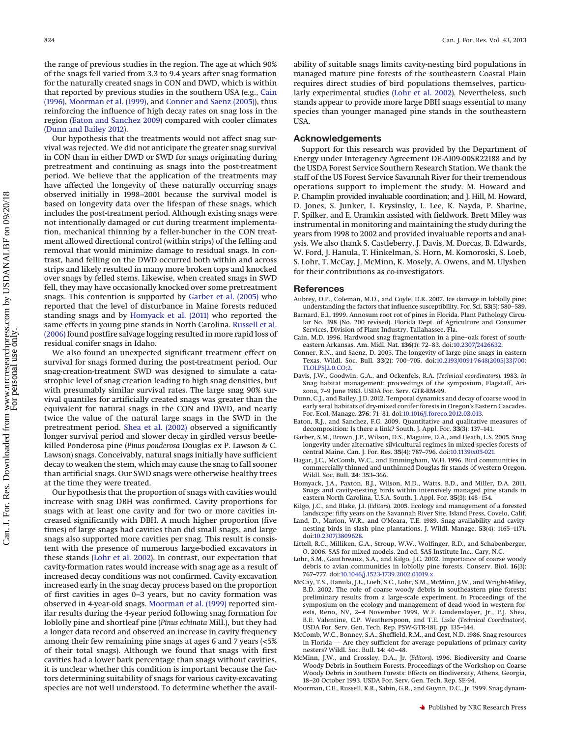the range of previous studies in the region. The age at which 90% of the snags fell varied from 3.3 to 9.4 years after snag formation for the naturally created snags in CON and DWD, which is within that reported by previous studies in the southern USA (e.g., [Cain](#page-7-11) [\(1996\),](#page-7-11) [Moorman et al. \(1999\),](#page-7-9) and [Conner and Saenz \(2005\)\)](#page-7-7), thus reinforcing the influence of high decay rates on snag loss in the region [\(Eaton and Sanchez 2009\)](#page-7-16) compared with cooler climates [\(Dunn and Bailey 2012\)](#page-7-8).

Our hypothesis that the treatments would not affect snag survival was rejected. We did not anticipate the greater snag survival in CON than in either DWD or SWD for snags originating during pretreatment and continuing as snags into the post-treatment period. We believe that the application of the treatments may have affected the longevity of these naturally occurring snags observed initially in 1998–2001 because the survival model is based on longevity data over the lifespan of these snags, which includes the post-treatment period. Although existing snags were not intentionally damaged or cut during treatment implementation, mechanical thinning by a feller-buncher in the CON treatment allowed directional control (within strips) of the felling and removal that would minimize damage to residual snags. In contrast, hand felling on the DWD occurred both within and across strips and likely resulted in many more broken tops and knocked over snags by felled stems. Likewise, when created snags in SWD fell, they may have occasionally knocked over some pretreatment snags. This contention is supported by [Garber et al. \(2005\)](#page-7-5) who reported that the level of disturbance in Maine forests reduced standing snags and by [Homyack et al. \(2011\)](#page-7-2) who reported the same effects in young pine stands in North Carolina. [Russell et al.](#page-8-8) [\(2006\)](#page-8-8) found postfire salvage logging resulted in more rapid loss of residual conifer snags in Idaho.

We also found an unexpected significant treatment effect on survival for snags formed during the post-treatment period. Our snag-creation-treatment SWD was designed to simulate a catastrophic level of snag creation leading to high snag densities, but with presumably similar survival rates. The large snag 90% survival quantiles for artificially created snags was greater than the equivalent for natural snags in the CON and DWD, and nearly twice the value of the natural large snags in the SWD in the pretreatment period. [Shea et al. \(2002\)](#page-8-9) observed a significantly longer survival period and slower decay in girdled versus beetlekilled Ponderosa pine (*Pinus ponderosa* Douglas ex P. Lawson & C. Lawson) snags. Conceivably, natural snags initially have sufficient decay to weaken the stem, which may cause the snag to fall sooner than artificial snags. Our SWD snags were otherwise healthy trees at the time they were treated.

Our hypothesis that the proportion of snags with cavities would increase with snag DBH was confirmed. Cavity proportions for snags with at least one cavity and for two or more cavities increased significantly with DBH. A much higher proportion (five times) of large snags had cavities than did small snags, and large snags also supported more cavities per snag. This result is consistent with the presence of numerous large-bodied excavators in these stands [\(Lohr et al. 2002\)](#page-7-17). In contrast, our expectation that cavity-formation rates would increase with snag age as a result of increased decay conditions was not confirmed. Cavity excavation increased early in the snag decay process based on the proportion of first cavities in ages 0–3 years, but no cavity formation was observed in 4-year-old snags. [Moorman et al. \(1999\)](#page-7-9) reported similar results during the 4-year period following snag formation for loblolly pine and shortleaf pine (*Pinus echinata* Mill.), but they had a longer data record and observed an increase in cavity frequency among their few remaining pine snags at ages 6 and 7 years (<5% of their total snags). Although we found that snags with first cavities had a lower bark percentage than snags without cavities, it is unclear whether this condition is important because the factors determining suitability of snags for various cavity-excavating species are not well understood. To determine whether the avail-

ability of suitable snags limits cavity-nesting bird populations in managed mature pine forests of the southeastern Coastal Plain requires direct studies of bird populations themselves, particularly experimental studies [\(Lohr et al. 2002\)](#page-7-17). Nevertheless, such stands appear to provide more large DBH snags essential to many species than younger managed pine stands in the southeastern USA.

#### **Acknowledgements**

Support for this research was provided by the Department of Energy under Interagency Agreement DE-AI09-00SR22188 and by the USDA Forest Service Southern Research Station. We thank the staff of the US Forest Service Savannah River for their tremendous operations support to implement the study. M. Howard and P. Champlin provided invaluable coordination; and J. Hill, M. Howard, D. Jones, S. Junker, L. Krysinsky, L. Lee, K. Nayda, P. Sharine, F. Spilker, and E. Uramkin assisted with fieldwork. Brett Miley was instrumental in monitoring and maintaining the study during the years from 1998 to 2002 and provided invaluable reports and analysis. We also thank S. Castleberry, J. Davis, M. Dorcas, B. Edwards, W. Ford, J. Hanula, T. Hinkelman, S. Horn, M. Komoroski, S. Loeb, S. Lohr, T. McCay, J. McMinn, K. Mosely, A. Owens, and M. Ulyshen for their contributions as co-investigators.

#### **References**

- <span id="page-7-14"></span>Aubrey, D.P., Coleman, M.D., and Coyle, D.R. 2007. Ice damage in loblolly pine: understanding the factors that influence susceptibility. For. Sci. **53**(5): 580–589.
- <span id="page-7-6"></span>Barnard, E.L. 1999. Annosum root rot of pines in Florida. Plant Pathology Circular No. 398 (No. 200 revised). Florida Dept. of Agriculture and Consumer Services, Division of Plant Industry, Tallahassee, Fla.
- <span id="page-7-11"></span>Cain, M.D. 1996. Hardwood snag fragmentation in a pine–oak forest of southeastern Arkansas. Am. Midl. Nat. **136**(1): 72–83. doi[:10.2307/2426632.](http://dx.doi.org/10.2307/2426632)
- <span id="page-7-7"></span>Conner, R.N., and Saenz, D. 2005. The longevity of large pine snags in eastern Texas. Wildl. Soc. Bull. **33**(2): 700–705. doi[:10.2193/0091-7648\(2005\)33\[700:](http://dx.doi.org/10.2193/0091-7648(2005)33%5B700%3ATLOLPS%5D2.0.CO%3B2) [TLOLPS\]2.0.CO;2.](http://dx.doi.org/10.2193/0091-7648(2005)33%5B700%3ATLOLPS%5D2.0.CO%3B2)
- <span id="page-7-1"></span>Davis, J.W., Goodwin, G.A., and Ockenfels, R.A. (*Technical coordinators*). 1983. *In* Snag habitat management: proceedings of the symposium, Flagstaff, Arizona, 7–9 June 1983. USDA For. Serv. GTR-RM-99.
- <span id="page-7-8"></span>Dunn, C.J., and Bailey, J.D. 2012. Temporal dynamics and decay of coarse wood in early seral habitats of dry-mixed conifer forests in Oregon's Eastern Cascades. For. Ecol. Manage. **276**: 71–81. doi[:10.1016/j.foreco.2012.03.013.](http://dx.doi.org/10.1016/j.foreco.2012.03.013)
- <span id="page-7-16"></span>Eaton, R.J., and Sanchez, F.G. 2009. Quantitative and qualitative measures of decomposition: Is there a link? South. J. Appl. For. **33**(3): 137–141.
- <span id="page-7-5"></span>Garber, S.M., Brown, J.P., Wilson, D.S., Maguire, D.A., and Heath, L.S. 2005. Snag longevity under alternative silvicultural regimes in mixed-species forests of central Maine. Can. J. For. Res. **35**(4): 787–796. doi[:10.1139/x05-021.](http://dx.doi.org/10.1139/x05-021)
- <span id="page-7-4"></span>Hagar, J.C., McComb, W.C., and Emmingham, W.H. 1996. Bird communities in commercially thinned and unthinned Douglas-fir stands of western Oregon. Wildl. Soc. Bull. **24**: 353–366.
- <span id="page-7-2"></span>Homyack, J.A., Paxton, B.J., Wilson, M.D., Watts, B.D., and Miller, D.A. 2011. Snags and cavity-nesting birds within intensively managed pine stands in eastern North Carolina, U.S.A. South. J. Appl. For. **35**(3): 148–154.
- <span id="page-7-12"></span>Kilgo, J.C., and Blake, J.I. (*Editors*). 2005. Ecology and management of a forested landscape: fifty years on the Savannah River Site. Island Press, Covelo, Calif.
- <span id="page-7-3"></span>Land, D., Marion, W.R., and O'Meara, T.E. 1989. Snag availability and cavitynesting birds in slash pine plantations. J. Wildl. Manage. **53**(4): 1165–1171. doi[:10.2307/3809628.](http://dx.doi.org/10.2307/3809628)
- <span id="page-7-13"></span>Littell, R.C., Milliken, G.A., Stroup, W.W., Wolfinger, R.D., and Schabenberger, O. 2006. SAS for mixed models. 2nd ed. SAS Institute Inc., Cary, N.C.
- <span id="page-7-17"></span>Lohr, S.M., Gauthreaux, S.A., and Kilgo, J.C. 2002. Importance of coarse woody debris to avian communities in loblolly pine forests. Conserv. Biol. **16**(3): 767–777. doi[:10.1046/j.1523-1739.2002.01019.x.](http://dx.doi.org/10.1046/j.1523-1739.2002.01019.x)
- <span id="page-7-10"></span>McCay, T.S., Hanula, J.L., Loeb, S.C., Lohr, S.M., McMinn, J.W., and Wright-Miley, B.D. 2002. The role of coarse woody debris in southeastern pine forests: preliminary results from a large-scale experiment. *In* Proceedings of the symposium on the ecology and management of dead wood in western forests, Reno, NV, 2–4 November 1999. W.F. Laudenslayer, Jr., P.J. Shea, B.E. Valentine, C.P. Weatherspoon, and T.E. Lisle (*Technical Coordinators*). USDA For. Serv. Gen. Tech. Rep. PSW-GTR-181. pp. 135–144.
- <span id="page-7-15"></span>McComb, W.C., Bonney, S.A., Sheffield, R.M., and Cost, N.D. 1986. Snag resources in Florida — Are they sufficient for average populations of primary cavity nesters? Wildl. Soc. Bull. **14**: 40–48.
- <span id="page-7-0"></span>McMinn, J.W., and Crossley, D.A., Jr. (*Editors*). 1996. Biodiversity and Coarse Woody Debris in Southern Forests. Proceedings of the Workshop on Coarse Woody Debris in Southern Forests: Effects on Biodiversity, Athens, Georgia, 18–20 October 1993. USDA For. Serv. Gen. Tech. Rep. SE-94.
- <span id="page-7-9"></span>Moorman, C.E., Russell, K.R., Sabin, G.R., and Guynn, D.C., Jr. 1999. Snag dynam-